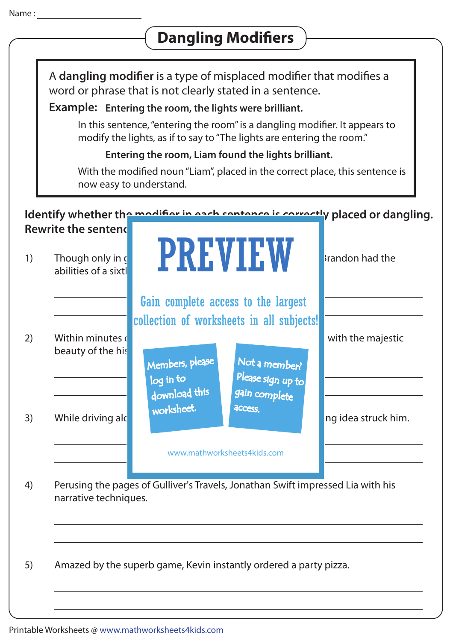